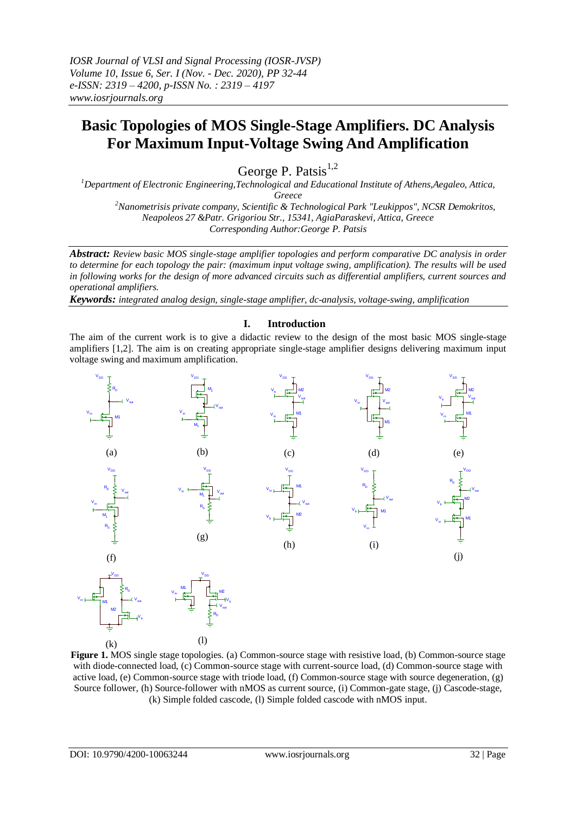*IOSR Journal of VLSI and Signal Processing (IOSR-JVSP) Volume 10, Issue 6, Ser. I (Nov. - Dec. 2020), PP 32-44 e-ISSN: 2319 – 4200, p-ISSN No. : 2319 – 4197 www.iosrjournals.org*

# **Basic Topologies of MOS Single-Stage Amplifiers. DC Analysis For Maximum Input-Voltage Swing And Amplification**

George P. Patsis $^{1,2}$ 

*<sup>1</sup>Department of Electronic Engineering,Technological and Educational Institute of Athens,Aegaleo, Attica, Greece <sup>2</sup>Nanometrisis private company, Scientific & Technological Park "Leukippos", NCSR Demokritos, Neapoleos 27 &Patr. Grigoriou Str., 15341, AgiaParaskevi, Attica, Greece*

*Corresponding Author:George P. Patsis*

*Abstract: Review basic MOS single-stage amplifier topologies and perform comparative DC analysis in order to determine for each topology the pair: (maximum input voltage swing, amplification). The results will be used in following works for the design of more advanced circuits such as differential amplifiers, current sources and operational amplifiers.* 

*Keywords: integrated analog design, single-stage amplifier, dc-analysis, voltage-swing, amplification*

## **I. Introduction**

The aim of the current work is to give a didactic review to the design of the most basic MOS single-stage amplifiers [1,2]. The aim is on creating appropriate single-stage amplifier designs delivering maximum input voltage swing and maximum amplification.



**Figure 1.** MOS single stage topologies. (a) Common-source stage with resistive load, (b) Common-source stage with diode-connected load, (c) Common-source stage with current-source load, (d) Common-source stage with active load, (e) Common-source stage with triode load, (f) Common-source stage with source degeneration, (g) Source follower, (h) Source-follower with nMOS as current source, (i) Common-gate stage, (j) Cascode-stage, (k) Simple folded cascode, (l) Simple folded cascode with nMOS input.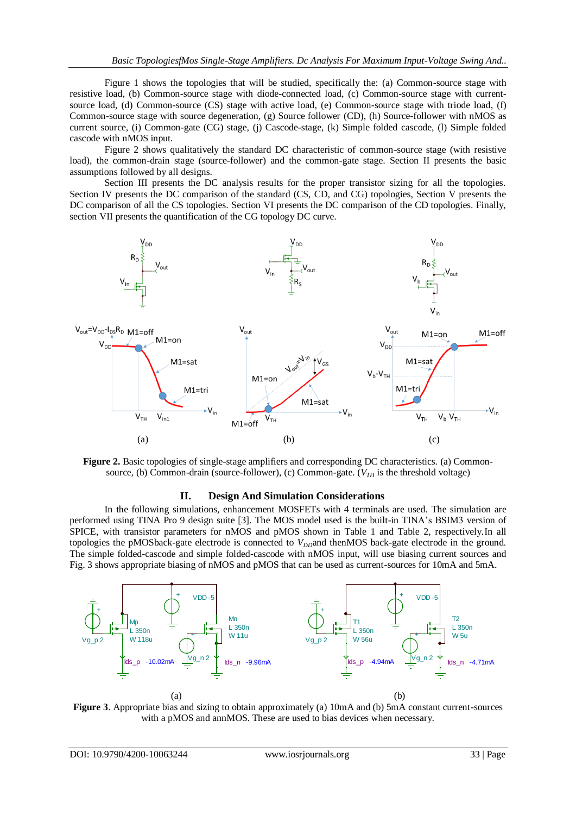Figure 1 shows the topologies that will be studied, specifically the: (a) Common-source stage with resistive load, (b) Common-source stage with diode-connected load, (c) Common-source stage with currentsource load, (d) Common-source (CS) stage with active load, (e) Common-source stage with triode load, (f) Common-source stage with source degeneration, (g) Source follower (CD), (h) Source-follower with nMOS as current source, (i) Common-gate (CG) stage, (j) Cascode-stage, (k) Simple folded cascode, (l) Simple folded cascode with nMOS input.

Figure 2 shows qualitatively the standard DC characteristic of common-source stage (with resistive load), the common-drain stage (source-follower) and the common-gate stage. Section II presents the basic assumptions followed by all designs.

Section III presents the DC analysis results for the proper transistor sizing for all the topologies. Section IV presents the DC comparison of the standard (CS, CD, and CG) topologies, Section V presents the DC comparison of all the CS topologies. Section VI presents the DC comparison of the CD topologies. Finally, section VII presents the quantification of the CG topology DC curve.





#### **II. Design And Simulation Considerations**

In the following simulations, enhancement MOSFETs with 4 terminals are used. The simulation are performed using TINA Pro 9 design suite [3]. The MOS model used is the built-in TINA's BSIM3 version of SPICE, with transistor parameters for nMOS and pMOS shown in Table 1 and Table 2, respectively.In all topologies the pMOSback-gate electrode is connected to *V<sub>DD</sub>*and thenMOS back-gate electrode in the ground. The simple folded-cascode and simple folded-cascode with nMOS input, will use biasing current sources and Fig. 3 shows appropriate biasing of nMOS and pMOS that can be used as current-sources for 10mA and 5mA.



**Figure 3**. Appropriate bias and sizing to obtain approximately (a) 10mA and (b) 5mA constant current-sources with a pMOS and annMOS. These are used to bias devices when necessary.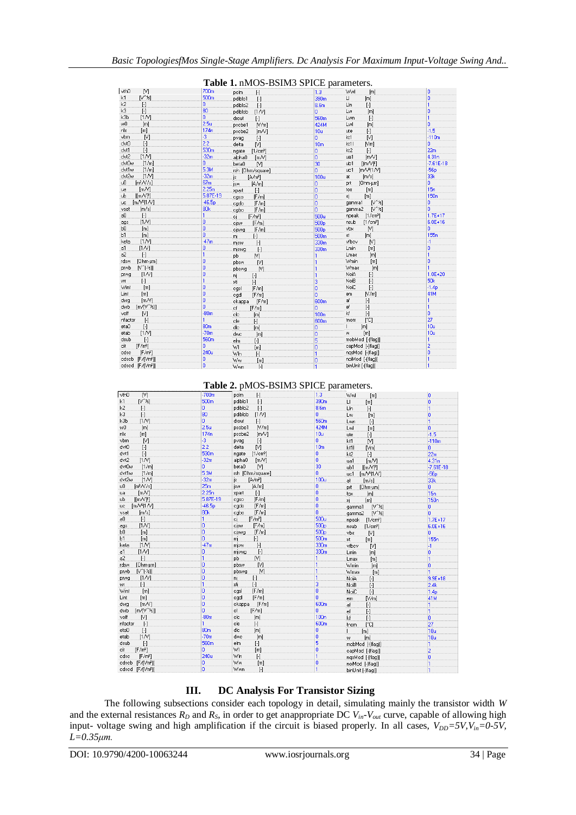|                                       |                  | $\alpha$ . Through $\alpha$ is the parameters. |                  |                                |                  |
|---------------------------------------|------------------|------------------------------------------------|------------------|--------------------------------|------------------|
| vthO<br>N                             | 700m             | pelm<br>H                                      | 1.3              | Wwl<br>[m]                     | o                |
| k1<br>$N^{\gamma}$ $\approx$          | 500 <sub>m</sub> | pdiblc1<br>$\mathbf{H}$                        | 390m             | U.<br>[m]                      | o                |
| k2<br>$\mathbb{H}$                    | n.               | pdiblc2<br>$[ \cdot ]$                         | 8.6m             | LIn<br>$[\cdot]$               | h.               |
| kЗ<br>$\lceil \cdot \rceil$           | 80               | pdibleb<br>[1N]                                | o.               | Lw<br>[m]                      | o                |
| [1N]<br>kЗb                           | n.               | drout<br>$[\cdot]$                             | 560 <sub>m</sub> | Lwn<br>$\lbrack \cdot \rbrack$ | h.               |
| wŪ<br>[m]                             | 2.5 <sub>u</sub> | pscbe1<br>[N/m]                                | 424M             | Lwl<br>[m]                     | 'n               |
| nlx<br>[m]                            | 174n             | pscbe2<br>[mN]                                 | 10u              | $[\cdot]$<br>ute               | $-1.5$           |
| vbm<br>M                              | ą.               | $[\cdot]$<br>pvag                              | o.               | M<br>kt1                       | $-110m$          |
| dvt0<br>$[\cdot]$                     | 2.2              | M<br>delta                                     | 10 <sub>m</sub>  | kt11<br>[Vm]                   | o.               |
| dvt1<br>$[\cdot]$                     | 530 <sub>m</sub> | ngate [1/cm <sup>3</sup> ]                     | o                | kt2<br>$\lceil \cdot \rceil$   | 22m              |
| [1N]<br>dvt2                          | $-32m$           | alpha0<br>[m/V]                                | o                | [m/V]<br>ua1                   | 4.31n            |
| dvt0w<br>[1/m]                        | o.               | N<br>beta0                                     | 30               | $[(m/V)^2]$<br>ub1             | $-7.61E - 18$    |
| dvt1w<br>[1/m]                        | 5.3M             | rsh [Ohm/square]                               | n                | [m/ $V^2$ [1/ $V$ ]<br>uc1     | $-56p$           |
| [1N]<br>dvt2w                         | $-32m$           | js<br>[A/m <sup>2</sup> ]                      | 100u             | [m/s]<br>at                    | 33k              |
| uŪ<br>[ $m^2$ / $s$ ]                 | 67m              | jsw<br>[A/m]                                   | 0                | [Ohm-um]<br>prt                | o.               |
| [mN]<br>ua                            | 2.25n            | $\lbrack \cdot \rbrack$<br>spart.              | ö                | [m]<br>tox                     | 15n              |
| $[$ [m $\sqrt{}$ <sup>p</sup> ]<br>uЬ | 5.87E-19         | [F/m]<br>cgso                                  | o                | ×j.<br>[m]                     | 150 <sub>n</sub> |
| [mN <sup>2</sup> ]N]<br>uc            | $-46.5p$         | [F/m]<br>cado                                  | ö                | $N^2$ $\approx$<br>gamma1      | o                |
| [m/s]<br>vsat                         | 80 <sub>k</sub>  | [F/m]<br>cgbo                                  | ö                | gamma2 [V^1/2]                 | ö                |
| $\mathbb{H}$<br>аO                    | 1                | [F/m <sup>2</sup> ]<br>.cj                     | 500u             | [1/cm <sup>3</sup> ]<br>npeak  | $1.7E + 17$      |
| [1N]<br>ags                           | o                | [F/m]<br>cisw                                  | 500 <sub>p</sub> | nsub<br>[1/cm <sup>3</sup> ]   | 6.0E+16          |
| ЬΟ.<br>[m]                            | o                | [F/m]<br>ciswg                                 | 500 <sub>p</sub> | [V]<br>vbx                     | o                |
| Ь1<br>[m]                             | ö                | $\lbrack \cdot \rbrack$<br>.mj                 | 500 <sub>m</sub> | [m]<br>st.                     | 155 <sub>n</sub> |
| [1N]<br>keta                          | $-47m$           | misw<br>$[\cdot]$                              | 330m             | vfbcv<br>M                     | $-1$             |
| [1N]<br>a1                            | ٥                | miswg.<br>$\mathbb{H}$                         | 330m             | <b>Lmin</b><br>[m]             | o                |
| a2<br>$\lceil - \rceil$               | 1                | M<br>рb                                        | 1                | Lmax<br>[m]                    | $\mathbf{1}$     |
| [Ohm·µm]<br>rdsw                      | ō                | pbsw<br>M                                      | 1                | Wmin<br>[m]                    | o                |
| $[V^{\wedge}[-16]]$<br>prwb           | o                | pbswg<br>M.                                    |                  | Wmax<br>[m]                    | ï                |
| [1N]<br>prwg                          | o                | nį.<br>$\mathbb{H}$                            |                  | NoiA<br>$[\cdot]$              | $1.0E + 20$      |
| $\mathbb{H}$<br>wr                    | 1                | $\left[ \cdot \right]$<br>xti                  | 3                | NoiB<br>$[\cdot]$              | 50k              |
| [m]<br>Wint                           | o                | [F/m]<br>cgsl                                  | ö                | NoiC<br>$[\cdot]$              | $-1.4p$          |
| Lint<br>[m]                           | o                | cgdl<br>[F/m]                                  | ö                | N/m<br>em                      | 41M              |
| [m/V]<br>dwa                          | o                | ckappa [F/m]                                   | 600m             | af<br>$\mathbf{F}$             | 1                |
| $[m/V^42]$<br>dwb                     | o                | cf<br>[F/m]                                    | o                | $\mathbf{H}$<br>ef             | $\mathbf{1}$     |
| [N]<br>voff                           | $-80m$           | clc<br>[m]                                     | 100 <sub>n</sub> | kf<br>$[\cdot]$                | o                |
| nfactor<br>$\mathbb{H}$               |                  | cle<br>$[\cdot]$                               | 600m             | [°C]<br>tnom                   | 27               |
| eta0<br>$[\cdot]$                     | 80 <sub>m</sub>  | dle.<br>[ <sub>m</sub> ]                       | 0                | [m]                            | 10u              |
| [1N]<br>etab                          | $-70m$           | dwc<br>[m]                                     | o                | [ <sub>m</sub> ]<br>w.         | 10u              |
| dsub<br>$[ \cdot ]$                   | 560m             | elm<br>$[\cdot]$                               | 5                | mobMod [-(flag)]               | 1                |
| [F/m <sup>2</sup> ]<br>cit            | n                | WI<br>[m]                                      | o                | capMod [-[flag]]               | $\overline{2}$   |
| edse.<br>[F/m <sup>2</sup> ]          | 240u             | Wh<br>$\lbrack \cdot \rbrack$                  |                  | ngsMod [-[flag]]               | o                |
| cdscb [F/(Vm <sup>2</sup> )]          | In.              | Ww.<br>[m]                                     | 0                | noiMod [-[flag]]               | $\mathbf{1}$     |
| edsed IE/Mm?11                        | 'n               | Sin Grasser<br>$\sqrt{1}$                      |                  | hinl Init [-(flan]]            |                  |

## **Table 1.** nMOS-BSIM3 SPICE parameters.

**Table 2.** pMOS-BSIM3 SPICE parameters.

| vth <sub>0</sub><br>N           | $-700m$          | pclm<br>H                       | 1.3              | Wwl<br>[m]                                                                                                                                                                                                 | o                |
|---------------------------------|------------------|---------------------------------|------------------|------------------------------------------------------------------------------------------------------------------------------------------------------------------------------------------------------------|------------------|
| $[V^{\wedge}$ $k]$<br>k1        | 500 <sub>m</sub> | pdiblc1<br>$[\cdot]$            | 390m             | $\sqcup$<br>[m]                                                                                                                                                                                            | o                |
| k2<br>$[\cdot]$                 | ٥                | pdiblc2<br>$[\cdot]$            | 8.6m             | LIn<br>$[\cdot]$                                                                                                                                                                                           | 1                |
| k3<br>$[\cdot]$                 | 80               | [1N]<br>pdiblcb                 | 0                | [m]<br>Lw                                                                                                                                                                                                  | o                |
| k3b<br>[1N]                     | ō                | drout<br>$[\cdot]$              | 560 <sub>m</sub> | Lwn<br>$[ \cdot ]$                                                                                                                                                                                         | 1                |
| wŪ<br>[m]                       | 2.5 <sub>u</sub> | [N/m]<br>pscbe1                 | 424M             | Lwl<br>[m]                                                                                                                                                                                                 | ō                |
| nlx<br>[m]                      | 174n             | pscbe2<br>[m/V]                 | 10u              | ute<br>$[\cdot]$                                                                                                                                                                                           | $-1.5$           |
| [1]<br>vbm                      | $-3$             | $\lbrack \cdot \rbrack$<br>pvag | o                | N<br>kt1                                                                                                                                                                                                   | $-110m$          |
| dvt0<br>$\lbrack \cdot \rbrack$ | 2.2              | M<br>delta                      | 10 <sub>m</sub>  | kt1l<br>[Vm]                                                                                                                                                                                               | o                |
| dvt1<br>$\lbrack \cdot \rbrack$ | 530m             | [1/cm <sup>3</sup> ]<br>ngate   | o                | kt2<br>$[\cdot]$                                                                                                                                                                                           | 22m              |
| dvt2<br>[1N]                    | $-32m$           | alpha0<br>[m/V]                 | ö                | [m/V]<br>ua1                                                                                                                                                                                               | 4.31n            |
| dvt0w<br>[1/m]                  | 0                | beta0<br>N                      | 30               | [ [m/V]<br>ub1                                                                                                                                                                                             | $-7.61E - 18$    |
| dvt1w<br>[1/m]                  | 5.3M             | rsh [Ohm/square]                | ö                | $[m/V2]$ $N$ ]<br>uc1                                                                                                                                                                                      | $-56p$           |
| dvt2w<br>[1N]                   | $-32m$           | [A/m <sup>2</sup> ]<br>is       | 100u             | at.<br>[m/s]                                                                                                                                                                                               | 33k              |
| $[m^2/N/s]$<br>uŪ               | 25m              | jsw<br>[A/m]                    | o                | [Ohm·µm]<br>prt                                                                                                                                                                                            | o                |
| [m/V]<br>ua                     | 2.25n            | $[\cdot]$<br>xpart              | ö                | [m]<br><b>tox</b>                                                                                                                                                                                          | 15n              |
| [ImN]<br>ub                     | 5.87E-19         | [F/m]<br>cgso                   | o                | хį<br>[m]                                                                                                                                                                                                  | 150 <sub>n</sub> |
| $[m/V2]$ 1/V]<br>uc             | $-46.5p$         | [F/m]<br>cgdo                   | ö                | $[V^{\prime}$ <sub>2</sub> [<br>gamma1                                                                                                                                                                     | o                |
| [m/s]<br>vsat                   | 80 <sub>k</sub>  | cgbo<br>[F/m]                   | o                | $N^2$ $\approx$<br>gamma2                                                                                                                                                                                  | ö                |
| $[\cdot]$<br>a0                 | 1                | [F/m <sup>2</sup> ]<br>cj       | 500u             | npeak<br>[1/cm <sup>3</sup> ]                                                                                                                                                                              | $1.7E + 17$      |
| [1N]<br>ags                     | o                | cisw<br>[F/m]                   | 500 <sub>p</sub> | nsub<br>[1/cm <sup>3</sup> ]                                                                                                                                                                               | $6.0E + 16$      |
| bО<br>[m]                       | ö                | [F/m]<br>ciswq                  | 500 <sub>p</sub> | vbx<br>[1]                                                                                                                                                                                                 | ō                |
| [ <sub>m</sub> ]<br>Ь1          | ō                | $\lbrack \cdot \rbrack$<br>mį   | 500 <sub>m</sub> | xt.<br>[m]                                                                                                                                                                                                 | 155 <sub>n</sub> |
| [1N]<br>keta                    | $-47m$           | $\mathbb{H}$<br>mjsw            | 330m             | vfbcv<br>M)                                                                                                                                                                                                | $\mathbf{F}$     |
| [1N]<br>a1                      | o                | $[\cdot]$<br>miswg              | 330m             | Lmin<br>[m]                                                                                                                                                                                                | o                |
| a <sup>2</sup><br>$[\cdot]$     | 1                | M.<br><b>Db</b>                 |                  | Lmax<br>[ <sub>m</sub> ]                                                                                                                                                                                   | 1                |
| rdsw<br>[Ohm-um]                | o                | [V]<br>pbsw                     |                  | Wmin<br>[ <sub>m</sub> ]                                                                                                                                                                                   | n                |
| $N^{\gamma}$ [-½]]<br>prwb      | ö                | M<br>pbswq                      |                  | Wmax<br>[m]                                                                                                                                                                                                | 1                |
| [1N]<br>prwg                    | ö                | nį<br>$\lbrack \cdot \rbrack$   |                  | NoiA<br>$[\cdot] % \centering % {\includegraphics[width=0.9\textwidth]{images/TrDiS/NR_WU.pdf} \caption{The figure shows the results of the estimators in the left and right.} \label{fig:TrDiS/NR_WU}} %$ | $9.9E + 18$      |
| H<br>WF                         | 1                | xti<br>$[\cdot]$                | 3                | NoiB<br>$[\cdot] % \centering % {\includegraphics[width=0.9\textwidth]{images/TrDiS/NR_WU.pdf} \caption{The figure shows the results of the estimators in the left and right.} \label{fig:TrDiS/NR_WU}} %$ | 2.4k             |
| Wint<br>[m]                     | o                | [F/m]<br>cgsl                   | o                | NoiC<br>$[\cdot]$                                                                                                                                                                                          | 1.4 <sub>p</sub> |
| Lint<br>[ <sub>m</sub> ]        | ö                | [F/m]<br>cadl                   | ö                | N/m<br>em                                                                                                                                                                                                  | 41M              |
| [mN]<br>dwg                     | o                | ckappa<br>[F/m]                 | 600 <sub>m</sub> | af<br>$\lbrack \cdot \rbrack$                                                                                                                                                                              | 1                |
| $[m/V^*k]]$<br>dwb              | ö                | сf<br>[F/m]                     | o                | ef<br>$\lbrack \cdot \rbrack$                                                                                                                                                                              | 1                |
| voff<br>M.                      | $-80m$           | clc<br>[m]                      | 100n             | kf<br>$[\cdot]$                                                                                                                                                                                            | o                |
| nfactor<br>$[\cdot]$            | 1                | cle<br>$[\cdot]$                | 600m             | [°C]<br>tnom                                                                                                                                                                                               | 27               |
| etaO<br>$[\cdot]$               | 80 <sub>m</sub>  | dlc.<br>[m]                     | o                | [m]                                                                                                                                                                                                        | 10u              |
| [1N]<br>etab                    | $-70m$           | dwc<br>[m]                      | o                | [ <sub>m</sub> ]<br>W                                                                                                                                                                                      | 10u              |
| $[\cdot]$<br>dsub               | 560m             | elm<br>$\lbrack \cdot \rbrack$  | 5                | mobMod [-[flag]]                                                                                                                                                                                           | 1                |
| [F/m <sup>2</sup> ]<br>cit      | Ū.               | WI<br>[m]                       | o                | capMod [-[flag]]                                                                                                                                                                                           | $\overline{c}$   |
| cdsc<br>[F/m <sup>2</sup> ]     | 240u             | Wln<br>$[\cdot]$                |                  | ngsMod [-(flag)]                                                                                                                                                                                           | o                |
| cdscb [F/[Vm2]]                 | 0                | Ww<br>[ <sub>m</sub> ]          | 0                | noiMod [-[flag]]                                                                                                                                                                                           |                  |
| cdscd [F/(Vm2)]                 | o                | Wwn<br>$\lbrack \cdot \rbrack$  |                  | binUnit [-(flag)]                                                                                                                                                                                          |                  |

## **III. DC Analysis For Transistor Sizing**

The following subsections consider each topology in detail, simulating mainly the transistor width *W* and the external resistances  $R_D$  and  $R_S$ , in order to get anappropriate DC  $V_{in}$ <sup>*V*<sub>out</sub> curve, capable of allowing high</sup> input- voltage swing and high amplification if the circuit is biased properly. In all cases,  $V_{DD} = 5V$ ,  $V_{in} = 0.5V$ , *L=0.35μm.*

 $\overline{1}$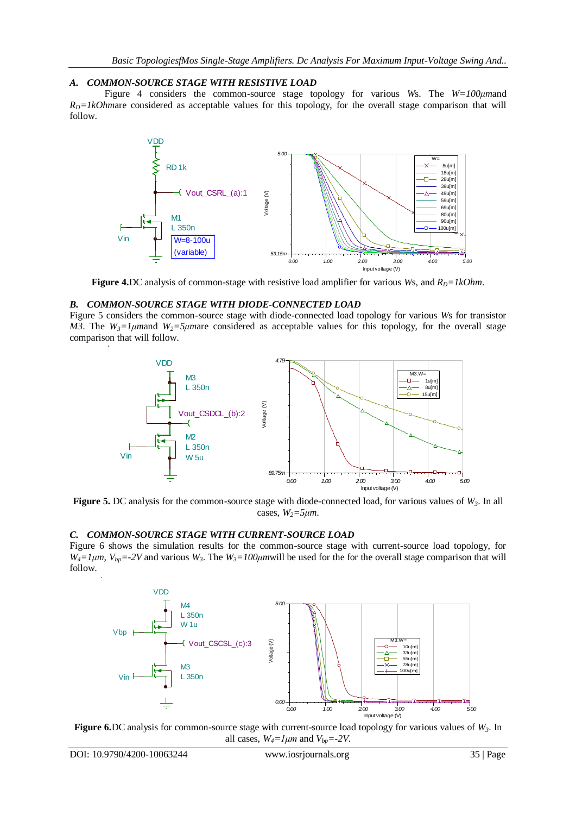## *A. COMMON-SOURCE STAGE WITH RESISTIVE LOAD*

Figure 4 considers the common-source stage topology for various *W*s. The *W=100μm*and  $R<sub>D</sub>=1kOhmare considered as acceptable values for this topology, for the overall stage comparison that will$ follow.



**Figure 4.**DC analysis of common-stage with resistive load amplifier for various *Ws*, and  $R_D = lkOhm$ .

#### *B. COMMON-SOURCE STAGE WITH DIODE-CONNECTED LOAD*

Figure 5 considers the common-source stage with diode-connected load topology for various *W*s for transistor *M3*. The  $W_3 = 1 \mu$  *M*<sup>2</sup>  $\mu$ <sup>2</sup>*z*  $\mu$  *M*<sup>2</sup>  $\mu$ <sup>2</sup> *M*<sup>2</sup>  $\mu$ <sup>2</sup> *M*<sup>2</sup> *M*<sup>2</sup> *M*<sup>2</sup> *M*<sup>2</sup> *M*<sup>2</sup> *M*<sup>2</sup> *M*<sup>2</sup> *M*<sup>2</sup> *M*<sup>2</sup> *M*<sup>2</sup> *M*<sup>2</sup> *M*<sup>2</sup> *M*<sup>2</sup> *M*<sup>2</sup> *M*<sup>2</sup> *M*<sup>2</sup> *M*<sup>2</sup> *M*<sup>2</sup> *M*<sup>2</sup> *M*<sup>2</sup> *M*<sup>2</sup> comparison that will follow.



**Figure 5.** DC analysis for the common-source stage with diode-connected load, for various values of *W3*. In all cases,  $W_2 = 5 \mu m$ .

#### *C. COMMON-SOURCE STAGE WITH CURRENT-SOURCE LOAD*

Figure 6 shows the simulation results for the common-source stage with current-source load topology, for  $W_4 = 1 \mu m$ ,  $V_{bp} = -2V$  and various  $W_3$ . The  $W_3 = 100 \mu m$  will be used for the for the overall stage comparison that will follow.



**Figure 6.**DC analysis for common-source stage with current-source load topology for various values of *W3*. In all cases,  $W_4 = l \mu m$  and  $V_{bn} = -2V$ .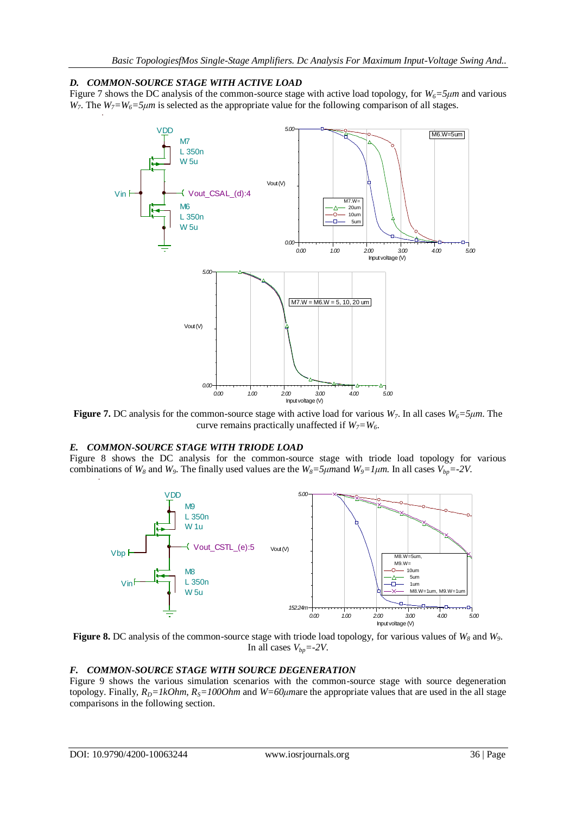## *D. COMMON-SOURCE STAGE WITH ACTIVE LOAD*

Figure 7 shows the DC analysis of the common-source stage with active load topology, for  $W_6 = 5\mu m$  and various *W*<sub>7</sub>. The *W*<sub>7</sub>=*W*<sub>6</sub>=5μm is selected as the appropriate value for the following comparison of all stages.



**Figure 7.** DC analysis for the common-source stage with active load for various *W7*. In all cases *W6=5μm*. The curve remains practically unaffected if  $W_7 = W_6$ .

## *E. COMMON-SOURCE STAGE WITH TRIODE LOAD*

Figure 8 shows the DC analysis for the common-source stage with triode load topology for various combinations of  $W_8$  and  $W_9$ . The finally used values are the  $W_8$ =5 $\mu$ mand  $W_9$ =1 $\mu$ m. In all cases  $V_{bp}$ =-2 $V$ .



**Figure 8.** DC analysis of the common-source stage with triode load topology, for various values of *W<sup>8</sup>* and *W9*. In all cases  $V_{bp} = -2V$ .

#### *F. COMMON-SOURCE STAGE WITH SOURCE DEGENERATION*

Figure 9 shows the various simulation scenarios with the common-source stage with source degeneration topology. Finally,  $R_D = lkOhm$ ,  $R_S = 100Ohm$  and  $W = 60 \mu m$  are the appropriate values that are used in the all stage comparisons in the following section.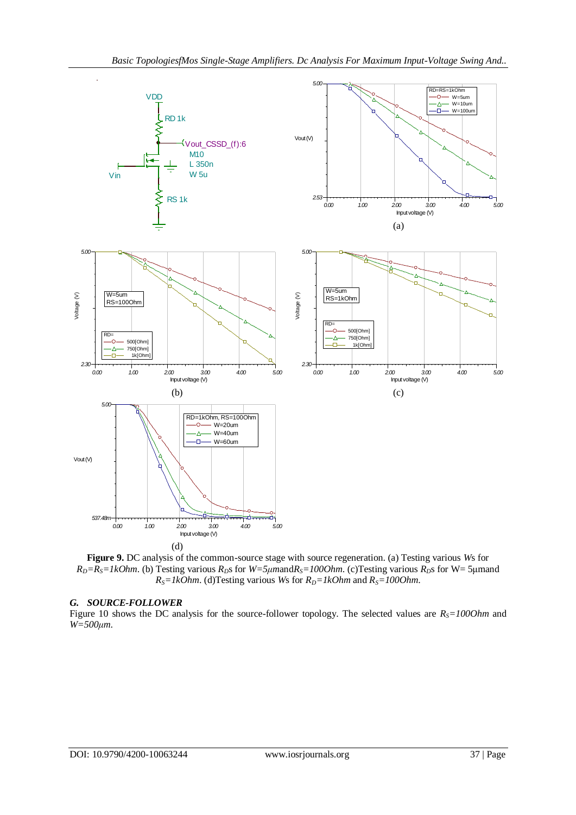

**Figure 9.** DC analysis of the common-source stage with source regeneration. (a) Testing various *W*s for  $R_D = R_S = IkOhm$ . (b) Testing various  $R_D$ s for  $W = 5\mu m$  and  $R_S = 100Ohm$ . (c) Testing various  $R_D$ s for  $W = 5\mu m$  and  $R_S = lkOhm$ . (d)Testing various *Ws* for  $R_D = lkOhm$  and  $R_S = 100Ohm$ .

#### *G. SOURCE-FOLLOWER*

Figure 10 shows the DC analysis for the source-follower topology. The selected values are  $R<sub>S</sub>=1000$ hm and *W=500μm*.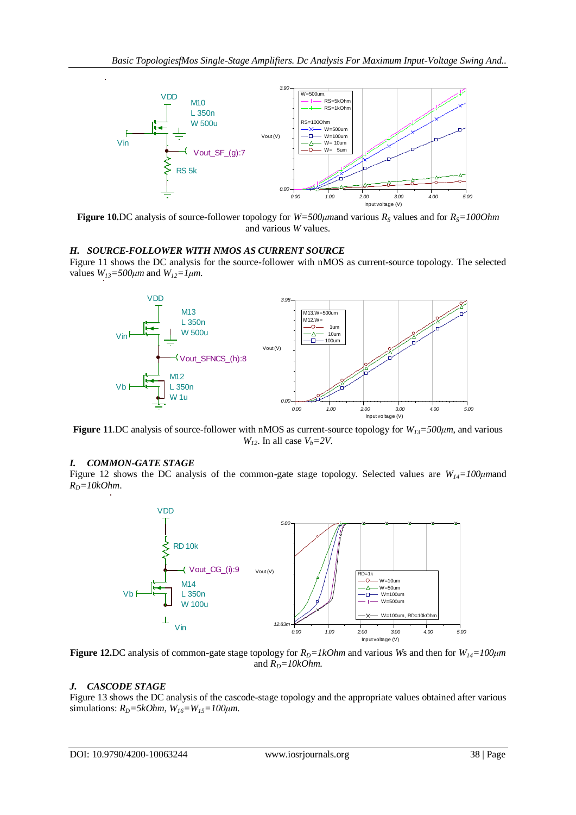

**Figure 10.**DC analysis of source-follower topology for *W=500μm*and various *R<sup>S</sup>* values and for *RS=100Ohm* and various *W* values.

## *H. SOURCE-FOLLOWER WITH NMOS AS CURRENT SOURCE*

Figure 11 shows the DC analysis for the source-follower with nMOS as current-source topology. The selected values  $W_{13} = 500 \mu m$  and  $W_{12} = 1 \mu m$ .



**Figure 11**.DC analysis of source-follower with nMOS as current-source topology for *W13=500μm*, and various *W*<sub>12</sub>. In all case  $V_b = 2V$ .

#### *I. COMMON-GATE STAGE*

Figure 12 shows the DC analysis of the common-gate stage topology. Selected values are *W14=100μm*and  $R_D = 10kOhm$ .



**Figure 12.**DC analysis of common-gate stage topology for  $R_D = lkOhm$  and various *Ws* and then for  $W_{14} = 100 \mu m$ and  $R_D = 10kOhm$ .

#### *J. CASCODE STAGE*

Figure 13 shows the DC analysis of the cascode-stage topology and the appropriate values obtained after various simulations:  $R_D = 5kOhm$ ,  $W_{16} = W_{15} = 100 \mu m$ .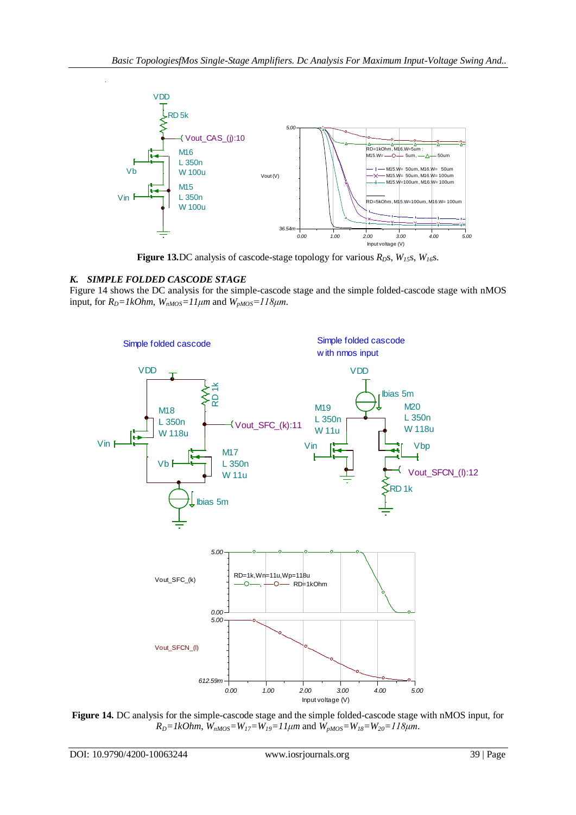

**Figure 13.**DC analysis of cascode-stage topology for various  $R_D$ s,  $W_{15}$ s,  $W_{16}$ s.

# *K. SIMPLE FOLDED CASCODE STAGE*

Figure 14 shows the DC analysis for the simple-cascode stage and the simple folded-cascode stage with nMOS input, for  $R_D = lkOhm$ ,  $W_{nMOS} =11 \mu m$  and  $W_{pMOS} =118 \mu m$ .



**Figure 14.** DC analysis for the simple-cascode stage and the simple folded-cascode stage with nMOS input, for  $R_D = IkOhm$ ,  $\hat{W}_{nMOS} = W_{17} = W_{19} = 11 \mu m$  and  $\hat{W}_{pMOS} = W_{18} = W_{20} = 118 \mu m$ .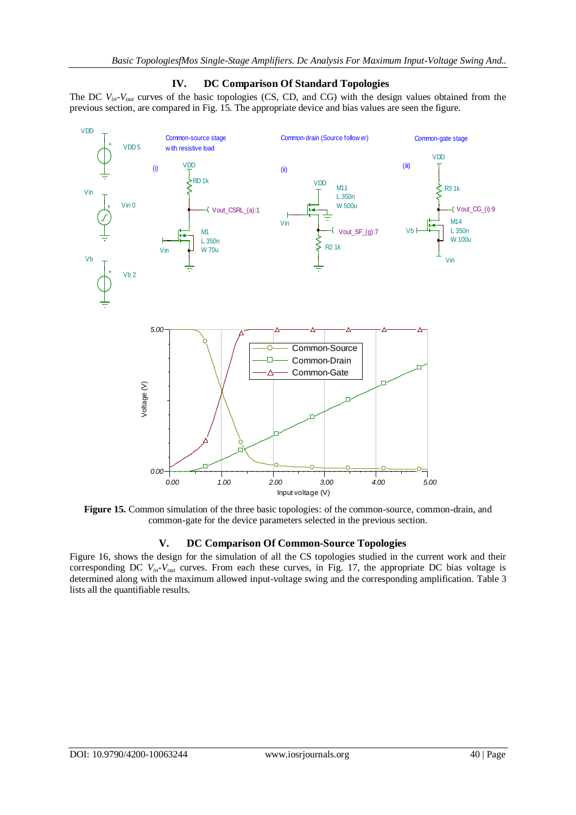

# **IV. DC Comparison Of Standard Topologies**

The DC  $V_{in}$ - $V_{out}$  curves of the basic topologies (CS, CD, and CG) with the design values obtained from the

**Figure 15.** Common simulation of the three basic topologies: of the common-source, common-drain, and common-gate for the device parameters selected in the previous section.

# **V. DC Comparison Of Common-Source Topologies**

Figure 16, shows the design for the simulation of all the CS topologies studied in the current work and their corresponding DC *Vin-Vout* curves. From each these curves, in Fig. 17, the appropriate DC bias voltage is determined along with the maximum allowed input-voltage swing and the corresponding amplification. Table 3 lists all the quantifiable results.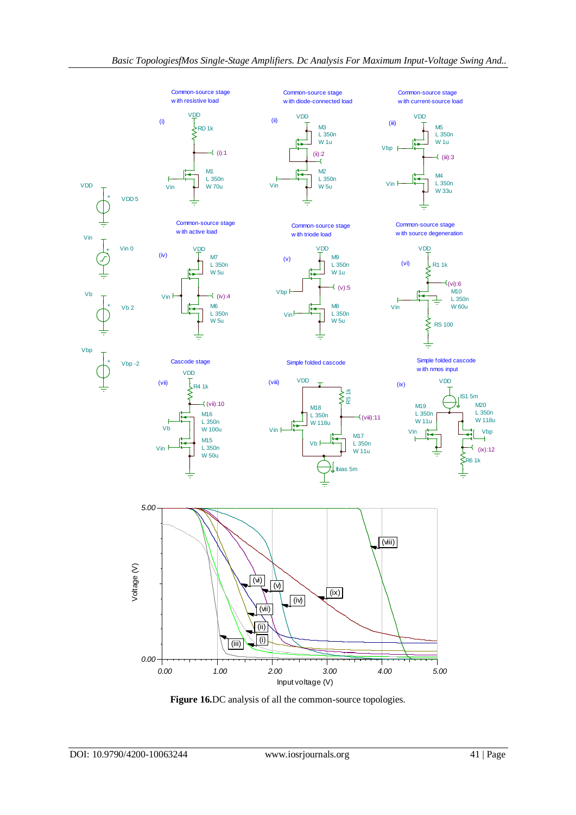

**Figure 16.**DC analysis of all the common-source topologies.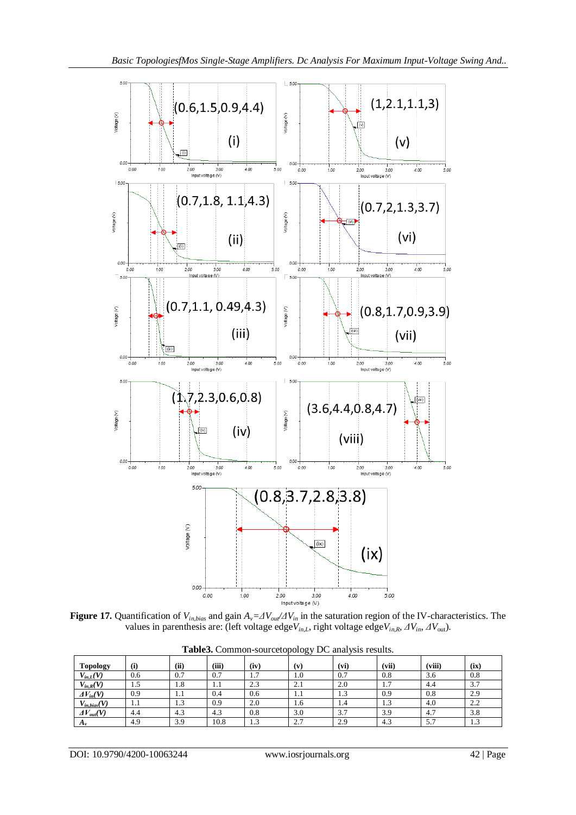

**Figure 17.** Quantification of  $V_{in, bias}$  and gain  $A_v = \frac{dV_{out}}{dV_{in}}$  in the saturation region of the IV-characteristics. The values in parenthesis are: (left voltage edge*Vin,L*, right voltage edge*Vin,R*, *ΔVin*, *ΔV*out).

| <b>Topology</b>     | (i) | (ii)          | (iii) | (iv)                               | (v) | (vi) | (vii) | (viii) | (ix) |
|---------------------|-----|---------------|-------|------------------------------------|-----|------|-------|--------|------|
| $V_{in,L}(V)$       | 0.6 | 0.7           | 0.7   | −<br>$\mathbf{1} \cdot \mathbf{1}$ | 1.0 | 0.7  | 0.8   | 3.6    | 0.8  |
| $V_{in,R}(V)$       | 1.5 | 1.8           | 1.1   | 2.3                                | 2.1 | 2.0  | 1.1   | 4.4    | 3.7  |
| $\Delta V_{in}(V)$  | 0.9 | 1.1           | 0.4   | 0.6                                | 1.1 | 1.5  | 0.9   | 0.8    | 2.9  |
| $V_{in, bias}(V)$   | 1.1 | $\sim$<br>1.5 | 0.9   | 2.0                                | 1.6 | 1.4  | 1.3   | 4.0    | 2.2  |
| $\Delta V_{out}(V)$ | 4.4 | 4.3           | 4.3   | 0.8                                | 3.0 | 3.7  | 3.9   | 4.7    | 3.8  |
| $A_v$               | 4.9 | 3.9           | 10.8  | $\ddot{\phantom{1}}$<br>1.3        | 2.7 | 2.9  | 4.3   | 5.7    | 1.3  |

**Table3.** Common-sourcetopology DC analysis results.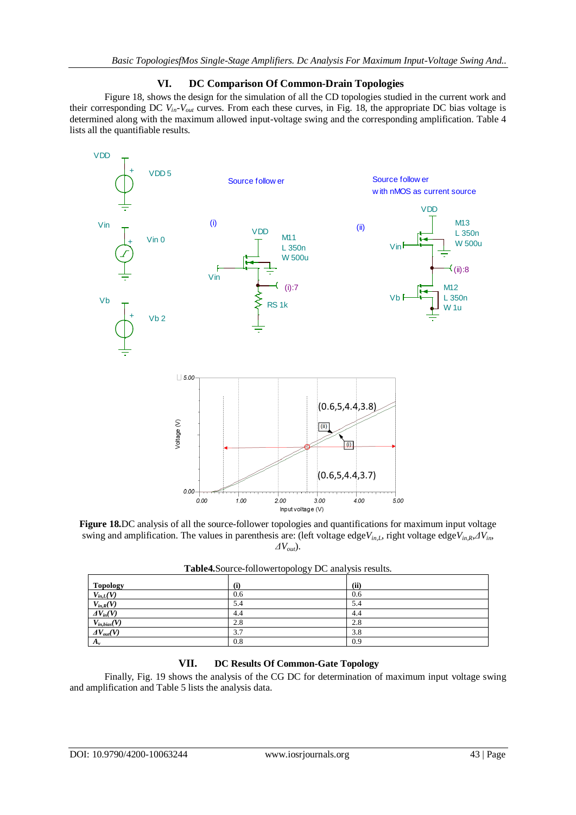## **VI. DC Comparison Of Common-Drain Topologies**

Figure 18, shows the design for the simulation of all the CD topologies studied in the current work and their corresponding DC  $V_{in}$ - $V_{out}$  curves. From each these curves, in Fig. 18, the appropriate DC bias voltage is determined along with the maximum allowed input-voltage swing and the corresponding amplification. Table 4 lists all the quantifiable results.



**Figure 18.**DC analysis of all the source-follower topologies and quantifications for maximum input voltage swing and amplification. The values in parenthesis are: (left voltage edge*Vin,L*, right voltage edge*Vin,R*,*ΔVin*, *ΔVout*).

|                     | ັັັ |      |
|---------------------|-----|------|
| Topology            | (i) | (ii) |
| $V_{in,L}(V)$       | 0.6 | 0.6  |
| $V_{in,R}(V)$       | 5.4 | 5.4  |
| $\Delta V_{in}(V)$  | 4.4 | 4.4  |
|                     | 2.8 | 2.8  |
| $\Delta V_{out}(V)$ | 3.7 | 3.8  |
| $A_{\nu}$           | 0.8 | 0.9  |
| $V_{in,bias}(V)$    |     |      |

**Table4.**Source-followertopology DC analysis results.

# **VII. DC Results Of Common-Gate Topology**

Finally, Fig. 19 shows the analysis of the CG DC for determination of maximum input voltage swing and amplification and Table 5 lists the analysis data.